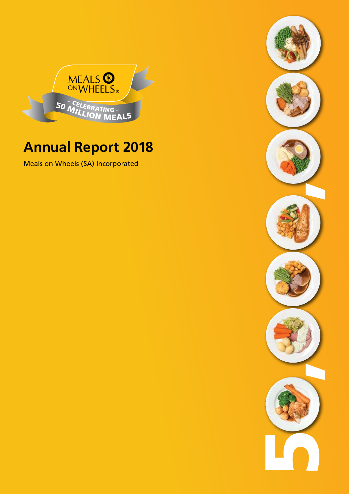

# **Annual Report 2018**

Meals on Wheels (SA) Incorporated

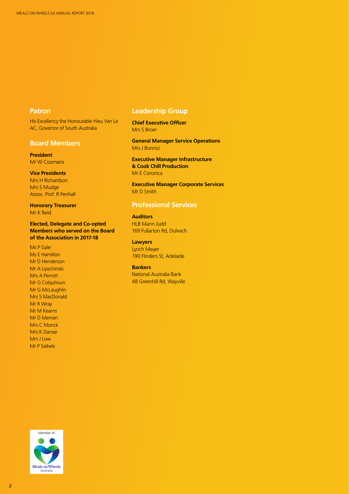# **Patron**

His Excellency the Honourable Hieu Van Le AC, Governor of South Australia

# **Board Members**

**President** Mr W Coomans

# **Vice Presidents**

Mrs H Richardson Mrs S Mudge Assoc. Prof. R Penhall

# **Honorary Treasurer** Mr K Reid

**Elected, Delegate and Co-opted Members who served on the Board of the Association in 2017-18**

Ms P Gale Ms E Hamilton Mr D Henderson Mr A Lipschinski Mrs A Perrott Mr G Colquhoun Mr G McLaughlin Mrs S MacDonald Mr R Wray Mr M Kearns Mr D Memen Mrs C Monck Mrs K Dansie Mrs J Low Mr P Siebels

# **Leadership Group**

**Chief Executive Officer** Mrs S Broer

**General Manager Service Operations** Mrs J Bonnici

**Executive Manager Infrastructure & Cook Chill Production** Mr E Coronica

**Executive Manager Corporate Services** Mr D Smith

# **Professional Services**

# **Auditors**

HLB Mann Judd 169 Fullarton Rd, Dulwich

# **Lawyers**

Lynch Meyer 190 Flinders St, Adelaide

**Bankers** National Australia Bank 48 Greenhill Rd, Wayville

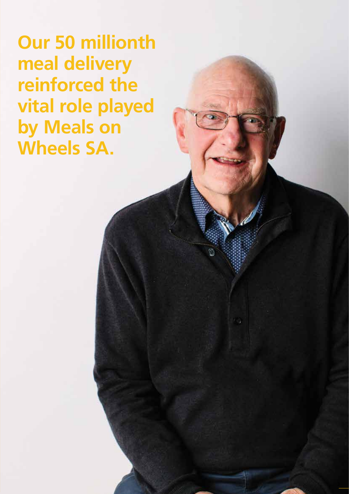**Our 50 millionth meal delivery reinforced the vital role played by Meals on Wheels SA.**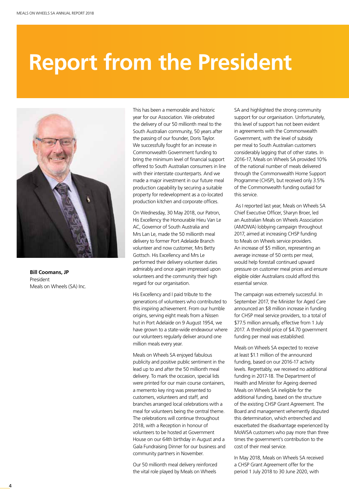# **Report from the President**



**Bill Coomans, JP** President Meals on Wheels (SA) Inc.

This has been a memorable and historic year for our Association. We celebrated the delivery of our 50 millionth meal to the South Australian community, 50 years after the passing of our founder, Doris Taylor. We successfully fought for an increase in Commonwealth Government funding to bring the minimum level of financial support offered to South Australian consumers in line with their interstate counterparts. And we made a major investment in our future meal production capability by securing a suitable property for redevelopment as a co-located production kitchen and corporate offices.

On Wednesday, 30 May 2018, our Patron, His Excellency the Honourable Hieu Van Le AC, Governor of South Australia and Mrs Lan Le, made the 50 millionth meal delivery to former Port Adelaide Branch volunteer and now customer, Mrs Betty Gottsch. His Excellency and Mrs Le performed their delivery volunteer duties admirably and once again impressed upon volunteers and the community their high regard for our organisation.

His Excellency and I paid tribute to the generations of volunteers who contributed to this inspiring achievement. From our humble origins, serving eight meals from a Nissen hut in Port Adelaide on 9 August 1954, we have grown to a state-wide endeavour where our volunteers regularly deliver around one million meals every year.

Meals on Wheels SA enjoyed fabulous publicity and positive public sentiment in the lead up to and after the 50 millionth meal delivery. To mark the occasion, special lids were printed for our main course containers, a memento key ring was presented to customers, volunteers and staff, and branches arranged local celebrations with a meal for volunteers being the central theme. The celebrations will continue throughout 2018, with a Reception in honour of volunteers to be hosted at Government House on our 64th birthday in August and a Gala Fundraising Dinner for our business and community partners in November.

Our 50 millionth meal delivery reinforced the vital role played by Meals on Wheels

SA and highlighted the strong community support for our organisation. Unfortunately, this level of support has not been evident in agreements with the Commonwealth Government, with the level of subsidy per meal to South Australian customers considerably lagging that of other states. In 2016-17, Meals on Wheels SA provided 10% of the national number of meals delivered through the Commonwealth Home Support Programme (CHSP), but received only 3.5% of the Commonwealth funding outlaid for this service.

 As I reported last year, Meals on Wheels SA Chief Executive Officer, Sharyn Broer, led an Australian Meals on Wheels Association (AMOWA) lobbying campaign throughout 2017, aimed at increasing CHSP funding to Meals on Wheels service providers. An increase of \$5 million, representing an average increase of 50 cents per meal, would help forestall continued upward pressure on customer meal prices and ensure eligible older Australians could afford this essential service.

The campaign was extremely successful. In September 2017, the Minister for Aged Care announced an \$8 million increase in funding for CHSP meal service providers, to a total of \$77.5 million annually, effective from 1 July 2017. A threshold price of \$4.70 government funding per meal was established.

Meals on Wheels SA expected to receive at least \$1.1 million of the announced funding, based on our 2016-17 activity levels. Regrettably, we received no additional funding in 2017-18. The Department of Health and Minister for Ageing deemed Meals on Wheels SA ineligible for the additional funding, based on the structure of the existing CHSP Grant Agreement. The Board and management vehemently disputed this determination, which entrenched and exacerbated the disadvantage experienced by MoWSA customers who pay more than three times the government's contribution to the cost of their meal service.

In May 2018, Meals on Wheels SA received a CHSP Grant Agreement offer for the period 1 July 2018 to 30 June 2020, with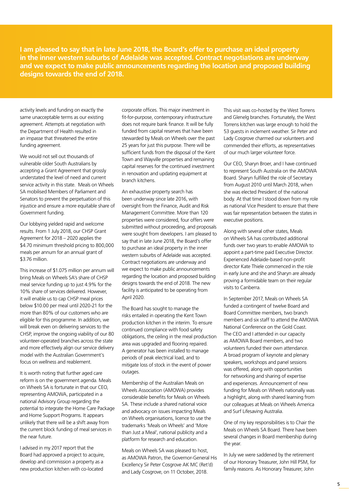I am pleased to say that in late June 2018, the Board's offer to purchase an ideal property **fations are underway<br>red responsed building** and we expect to make public announcements regarding the location and proposed building<br>designs towards the end of 2018. **Report From I am pleased to say that in late June 2018, the Board's offer to purchase an ideal property in the inner western suburbs of Adelaide was accepted. Contract negotiations are underweard we expect to make public in the inner western suburbs of Adelaide was accepted. Contract negotiations are underway designs towards the end of 2018.** 

> activity levels and funding on exactly the same unacceptable terms as our existing agreement. Attempts at negotiation with the Department of Health resulted in an impasse that threatened the entire funding agreement.

We would not sell out thousands of vulnerable older South Australians by accepting a Grant Agreement that grossly understated the level of need and current service activity in this state. Meals on Wheels SA mobilised Members of Parliament and Senators to prevent the perpetuation of this injustice and ensure a more equitable share of Government funding.

Our lobbying yielded rapid and welcome results. From 1 July 2018, our CHSP Grant Agreement for 2018 – 2020 applies the \$4.70 minimum threshold pricing to 800,000 meals per annum for an annual grant of \$3.76 million.

This increase of \$1.075 million per annum will bring Meals on Wheels SA's share of CHSP meal service funding up to just 4.9% for the 10% share of services delivered. However, it will enable us to cap CHSP meal prices below \$10.00 per meal until 2020-21 for the more than 80% of our customers who are eligible for this programme. In addition, we will break even on delivering services to the CHSP, improve the ongoing viability of our 80 volunteer-operated branches across the state and more effectively align our service delivery model with the Australian Government's focus on wellness and reablement.

It is worth noting that further aged care reform is on the government agenda. Meals on Wheels SA is fortunate in that our CEO, representing AMOWA, participated in a national Advisory Group regarding the potential to integrate the Home Care Package and Home Support Programs. It appears unlikely that there will be a shift away from the current block funding of meal services in the near future.

I advised in my 2017 report that the Board had approved a project to acquire, develop and commission a property as a new production kitchen with co-located

corporate offices. This major investment in fit-for-purpose, contemporary infrastructure does not require bank finance. It will be fully funded from capital reserves that have been stewarded by Meals on Wheels over the past 25 years for just this purpose. There will be sufficient funds from the disposal of the Kent Town and Wayville properties and remaining capital reserves for the continued investment in renovation and updating equipment at branch kitchens.

An exhaustive property search has been underway since late 2016, with oversight from the Finance, Audit and Risk Management Committee. More than 120 properties were considered, four offers were submitted without proceeding, and proposals were sought from developers. I am pleased to say that in late June 2018, the Board's offer to purchase an ideal property in the inner western suburbs of Adelaide was accepted. Contract negotiations are underway and we expect to make public announcements regarding the location and proposed building designs towards the end of 2018. The new facility is anticipated to be operating from April 2020.

The Board has sought to manage the risks entailed in operating the Kent Town production kitchen in the interim. To ensure continued compliance with food safety obligations, the ceiling in the meal production area was upgraded and flooring repaired. A generator has been installed to manage periods of peak electrical load, and to mitigate loss of stock in the event of power outages.

Membership of the Australian Meals on Wheels Association (AMOWA) provides considerable benefits for Meals on Wheels SA. These include a shared national voice and advocacy on issues impacting Meals on Wheels organisations, licence to use the trademarks 'Meals on Wheels' and 'More than Just a Meal', national publicity and a platform for research and education.

Meals on Wheels SA was pleased to host, as AMOWA Patron, the Governor-General His Excellency Sir Peter Cosgrove AK MC (Ret'd) and Lady Cosgrove, on 11 October, 2018.

This visit was co-hosted by the West Torrens and Glenelg branches. Fortunately, the West Torrens kitchen was large enough to hold the 53 guests in inclement weather. Sir Peter and Lady Cosgrove charmed our volunteers and commended their efforts, as representatives of our much larger volunteer force.

**The commercial** 

Our CEO, Sharyn Broer, and I have continued to represent South Australia on the AMOWA Board. Sharyn fulfilled the role of Secretary from August 2010 until March 2018, when she was elected President of the national body. At that time I stood down from my role as national Vice President to ensure that there was fair representation between the states in executive positions.

Along with several other states, Meals on Wheels SA has contributed additional funds over two years to enable AMOWA to appoint a part-time paid Executive Director. Experienced Adelaide-based non-profit director Kate Thiele commenced in the role in early June and she and Sharyn are already proving a formidable team on their regular visits to Canberra.

In September 2017, Meals on Wheels SA funded a contingent of twelve Board and Board Committee members, two branch members and six staff to attend the AMOWA National Conference on the Gold Coast. The CEO and I attended in our capacity as AMOWA Board members, and two volunteers funded their own attendance. A broad program of keynote and plenary speakers, workshops and panel sessions was offered, along with opportunities for networking and sharing of expertise and experiences. Announcement of new funding for Meals on Wheels nationally was a highlight, along with shared learning from our colleagues at Meals on Wheels America and Surf Lifesaving Australia.

One of my key responsibilities is to Chair the Meals on Wheels SA Board. There have been several changes in Board membership during the year.

In July we were saddened by the retirement of our Honorary Treasurer, John Hill PSM, for family reasons. As Honorary Treasurer, John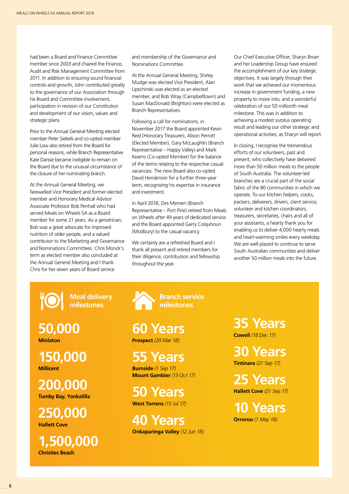had been a Board and Finance Committee member since 2003 and chaired the Finance, Audit and Risk Management Committee from 2011. In addition to ensuring sound financial controls and growth, John contributed greatly to the governance of our Association through his Board and Committee involvement, participation in revision of our Constitution and development of our vision, values and strategic plans.

Prior to the Annual General Meeting elected member Peter Siebels and co-opted member Julie Low also retired from the Board for personal reasons, while Branch Representative Kate Dansie became ineligible to remain on the Board due to the unusual circumstance of the closure of her nominating branch.

At the Annual General Meeting, we farewelled Vice President and former elected member and Honorary Medical Advisor Associate Professor Bob Penhall who had served Meals on Wheels SA as a Board member for some 21 years. As a geriatrician, Bob was a great advocate for improved nutrition of older people, and a valued contributor to the Marketing and Governance and Nominations Committees. Chris Monck's term as elected member also concluded at the Annual General Meeting and I thank Chris for her seven years of Board service

and membership of the Governance and Nominations Committee.

At the Annual General Meeting, Shirley Mudge was elected Vice President, Alan Lipschinski was elected as an elected member, and Bob Wray (Campbelltown) and Susan MacDonald (Brighton) were elected as Branch Representatives.

Following a call for nominations, in November 2017 the Board appointed Kevin Reid (Honorary Treasurer), Alison Perrott (Elected Member), Gary McLaughlin (Branch Representative – Happy Valley) and Mark Kearns (Co-opted Member) for the balance of the terms relating to the respective casual vacancies. The new Board also co-opted David Henderson for a further three-year term, recognising his expertise in insurance and investment.

In April 2018, Des Memen (Branch Representative – Port Pirie) retired from Meals on Wheels after 49 years of dedicated service and the Board appointed Garry Colquhoun (Modbury) to the casual vacancy.

We certainly are a refreshed Board and I thank all present and retired members for their diligence, contribution and fellowship throughout the year.

Our Chief Executive Officer, Sharyn Broer and her Leadership Group have ensured the accomplishment of our key strategic objectives. It was largely through their work that we achieved our momentous increase in government funding, a new property to move into, and a wonderful celebration of our 50 millionth meal milestone. This was in addition to achieving a modest surplus operating result and leading our other strategic and operational activities, as Sharyn will report.

In closing, I recognise the tremendous efforts of our volunteers, past and present, who collectively have delivered more than 50 million meals to the people of South Australia. The volunteer-led branches are a crucial part of the social fabric of the 80 communities in which we operate. To our kitchen helpers, cooks, packers, deliverers, drivers, client service, volunteer and kitchen coordinators, treasurers, secretaries, chairs and all of your assistants, a hearty thank you for enabling us to deliver 4,000 hearty meals and heart-warming smiles every weekday. We are well placed to continue to serve South Australian communities and deliver another 50 million meals into the future.

**Meal delivery milestones**

**50,000 Minlaton**

**150,000 Millicent**

**200,000 Tumby Bay, Yankalilla**

**250,000 Hallett Cove** 

**1,500,000 Christies Beach**

**Branch service milestones**

**60 Years Prospect** *(20 Mar 18)*

**55 Years Burnside** *(1 Sep 17)*

**50 Years**

**Mount Gambier** *(13 Oct 17)*

**West Torrens** *(15 Jul 17)*

**40 Years Onkaparinga Valley** *(12 Jun 18)* **35 Years Cowell** *(18 Dec 17)*

**30 Years Tintinara** *(21 Sep 17)*

**25 Years Hallett Cove** *(21 Sep 17)*

**10 Years Orroroo** *(1 May 18)*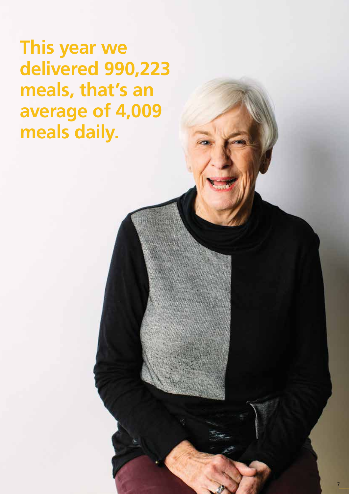**The Meals on Wheels board consists of nonet ut apient re dem quiduntem iliquosandi core delivered 990,223 <b>animal This year we meals, that's an average of 4,009 meals daily.**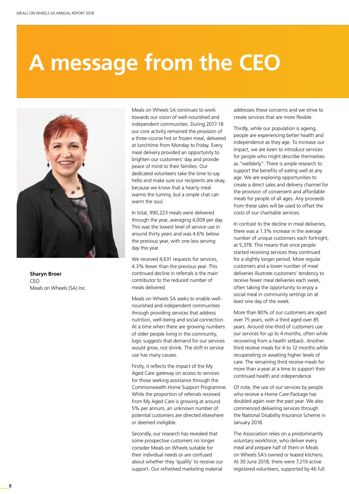# **A message from the CEO**



**Sharyn Broer** CEO Meals on Wheels (SA) Inc.

Meals on Wheels SA continues to work towards our vision of well-nourished and independent communities. During 2017-18 our core activity remained the provision of a three-course hot or frozen meal, delivered at lunchtime from Monday to Friday. Every meal delivery provided an opportunity to brighten our customers' day and provide peace of mind to their families. Our dedicated volunteers take the time to say hello and make sure our recipients are okay, because we know that a hearty meal warms the tummy, but a simple chat can warm the soul.

In total, 990,223 meals were delivered through the year, averaging 4,009 per day. This was the lowest level of service use in around thirty years and was 4.6% below the previous year, with one less serving day this year.

We received 4,631 requests for services, 4.3% fewer than the previous year. This continued decline in referrals is the main contributor to the reduced number of meals delivered.

Meals on Wheels SA seeks to enable wellnourished and independent communities through providing services that address nutrition, well-being and social connection. At a time when there are growing numbers of older people living in the community, logic suggests that demand for our services would grow, not shrink. The shift in service use has many causes.

Firstly, it reflects the impact of the My Aged Care gateway on access to services for those seeking assistance through the Commonwealth Home Support Programme. While the proportion of referrals received from My Aged Care is growing at around 5% per annum, an unknown number of potential customers are directed elsewhere or deemed ineligible.

Secondly, our research has revealed that some prospective customers no longer consider Meals on Wheels suitable for their individual needs or are confused about whether they 'qualify' to receive our support. Our refreshed marketing material

addresses these concerns and we strive to create services that are more flexible.

Thirdly, while our population is ageing, people are experiencing better health and independence as they age. To increase our impact, we are keen to introduce services for people who might describe themselves as "wellderly". There is ample research to support the benefits of eating well at any age. We are exploring opportunities to create a direct sales and delivery channel for the provision of convenient and affordable meals for people of all ages. Any proceeds from these sales will be used to offset the costs of our charitable services.

In contrast to the decline in meal deliveries there was a 1.3% increase in the average number of unique customers each fortnight, at 5,378. This means that once people started receiving services they continued for a slightly longer period. More regular customers and a lower number of meal deliveries illustrate customers' tendency to receive fewer meal deliveries each week, often taking the opportunity to enjoy a social meal in community settings on at least one day of the week.

More than 80% of our customers are aged over 75 years, with a third aged over 85 years. Around one-third of customers use our services for up to 4 months, often while recovering from a health setback. Another third receive meals for 4 to 12 months while recuperating or awaiting higher levels of care. The remaining third receive meals for more than a year at a time to support their continued health and independence.

Of note, the use of our services by people who receive a Home Care Package has doubled again over the past year. We also commenced delivering services through the National Disability Insurance Scheme in January 2018.

The Association relies on a predominantly voluntary workforce, who deliver every meal and prepare half of them in Meals on Wheels SA's owned or leased kitchens. At 30 June 2018, there were 7,219 active registered volunteers, supported by 46 full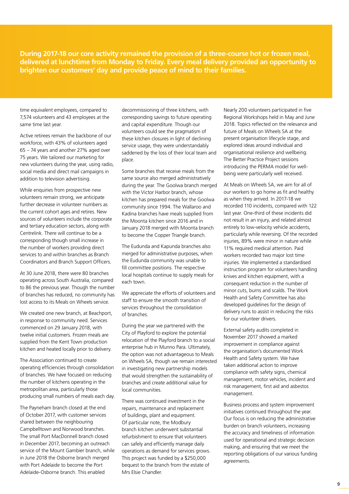During 2017-18 our core activity remained the provision of a three-course hot or frozen meal,<br>delivered at lunchtime from Monday to Friday. Every meal delivery provided an opportunity t<br>brighten our customers' day and prov **delivered at lunchtime from Monday to Friday. Every meal delivery provided an opportunity to brighten our customers' day and provide peace of mind to their families.**

> time equivalent employees, compared to 7,574 volunteers and 43 employees at the same time last year.

Active retirees remain the backbone of our workforce, with 43% of volunteers aged 65 – 74 years and another 27% aged over 75 years. We tailored our marketing for new volunteers during the year, using radio, social media and direct mail campaigns in addition to television advertising.

While enquiries from prospective new volunteers remain strong, we anticipate further decrease in volunteer numbers as the current cohort ages and retires. New sources of volunteers include the corporate and tertiary education sectors, along with Centrelink. There will continue to be a corresponding though small increase in the number of workers providing direct services to and within branches as Branch Coordinators and Branch Support Officers.

At 30 June 2018, there were 80 branches operating across South Australia, compared to 86 the previous year. Though the number of branches has reduced, no community has lost access to its Meals on Wheels service.

We created one new branch, at Beachport, in response to community need. Services commenced on 29 January 2018, with twelve initial customers. Frozen meals are supplied from the Kent Town production kitchen and heated locally prior to delivery.

The Association continued to create operating efficiencies through consolidation of branches. We have focused on reducing the number of kitchens operating in the metropolitan area, particularly those producing small numbers of meals each day.

The Payneham branch closed at the end of October 2017, with customer services shared between the neighbouring Campbelltown and Norwood branches. The small Port MacDonnell branch closed in December 2017, becoming an outreach service of the Mount Gambier branch, while in June 2018 the Osborne branch merged with Port Adelaide to become the Port Adelaide-Osborne branch. This enabled

decommissioning of three kitchens, with corresponding savings to future operating and capital expenditure. Though our volunteers could see the pragmatism of these kitchen closures in light of declining service usage, they were understandably saddened by the loss of their local team and place.

Some branches that receive meals from the same source also merged administratively during the year. The Goolwa branch merged with the Victor Harbor branch, whose kitchen has prepared meals for the Goolwa community since 1994. The Wallaroo and Kadina branches have meals supplied from the Moonta kitchen since 2016 and in January 2018 merged with Moonta branch to become the Copper Triangle branch.

The Eudunda and Kapunda branches also merged for administrative purposes, when the Eudunda community was unable to fill committee positions. The respective local hospitals continue to supply meals for each town.

We appreciate the efforts of volunteers and staff to ensure the smooth transition of services throughout the consolidation of branches.

During the year we partnered with the City of Playford to explore the potential relocation of the Playford branch to a social enterprise hub in Munno Para. Ultimately, the option was not advantageous to Meals on Wheels SA, though we remain interested in investigating new partnership models that would strengthen the sustainability of branches and create additional value for local communities.

There was continued investment in the repairs, maintenance and replacement of buildings, plant and equipment. Of particular note, the Modbury branch kitchen underwent substantial refurbishment to ensure that volunteers can safely and efficiently manage daily operations as demand for services grows. This project was funded by a \$250,000 bequest to the branch from the estate of Mrs Elsie Chandler.

Nearly 200 volunteers participated in five Regional Workshops held in May and June 2018. Topics reflected on the relevance and future of Meals on Wheels SA at the present organisation lifecycle stage, and explored ideas around individual and organisational resilience and wellbeing. The Better Practice Project sessions introducing the PERMA model for wellbeing were particularly well received.

At Meals on Wheels SA, we aim for all of our workers to go home as fit and healthy as when they arrived. In 2017-18 we recorded 110 incidents, compared with 122 last year. One-third of these incidents did not result in an injury, and related almost entirely to low-velocity vehicle accidents, particularly while reversing. Of the recorded injuries, 89% were minor in nature while 11% required medical attention. Paid workers recorded two major lost time injuries. We implemented a standardised instruction program for volunteers handling knives and kitchen equipment, with a consequent reduction in the number of minor cuts, burns and scalds. The Work Health and Safety Committee has also developed guidelines for the design of delivery runs to assist in reducing the risks for our volunteer drivers.

External safety audits completed in November 2017 showed a marked improvement in compliance against the organisation's documented Work Health and Safety system. We have taken additional action to improve compliance with safety signs, chemical management, motor vehicles, incident and risk management, first aid and asbestos management.

Business process and system improvement initiatives continued throughout the year. Our focus is on reducing the administrative burden on branch volunteers, increasing the accuracy and timeliness of information used for operational and strategic decision making, and ensuring that we meet the reporting obligations of our various funding agreements.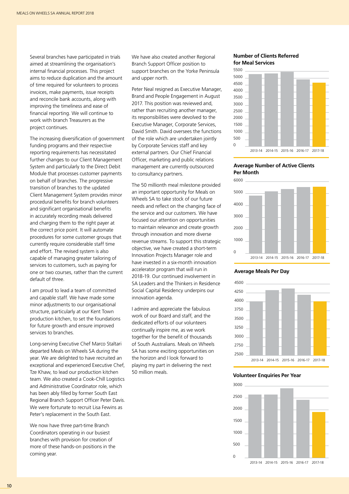Several branches have participated in trials aimed at streamlining the organisation's internal financial processes. This project aims to reduce duplication and the amount of time required for volunteers to process invoices, make payments, issue receipts and reconcile bank accounts, along with improving the timeliness and ease of financial reporting. We will continue to work with branch Treasurers as the project continues.

The increasing diversification of government funding programs and their respective reporting requirements has necessitated further changes to our Client Management System and particularly to the Direct Debit Module that processes customer payments on behalf of branches. The progressive transition of branches to the updated Client Management System provides minor procedural benefits for branch volunteers and significant organisational benefits in accurately recording meals delivered and charging them to the right payer at the correct price point. It will automate procedures for some customer groups that currently require considerable staff time and effort. The revised system is also capable of managing greater tailoring of services to customers, such as paying for one or two courses, rather than the current default of three.

I am proud to lead a team of committed and capable staff. We have made some minor adjustments to our organisational structure, particularly at our Kent Town production kitchen, to set the foundations for future growth and ensure improved services to branches.

Long-serving Executive Chef Marco Staltari departed Meals on Wheels SA during the year. We are delighted to have recruited an exceptional and experienced Executive Chef, Tze Khaw, to lead our production kitchen team. We also created a Cook-Chill Logistics and Administrative Coordinator role, which has been ably filled by former South East Regional Branch Support Officer Peter Davis. We were fortunate to recruit Lisa Fewins as Peter's replacement in the South East.

We now have three part-time Branch Coordinators operating in our busiest branches with provision for creation of more of these hands-on positions in the coming year.

We have also created another Regional Branch Support Officer position to support branches on the Yorke Peninsula and upper north.

Peter Neal resigned as Executive Manager, Brand and People Engagement in August 2017. This position was reviewed and, rather than recruiting another manager, its responsibilities were devolved to the Executive Manager, Corporate Services, David Smith. David oversees the functions of the role which are undertaken jointly by Corporate Services staff and key external partners. Our Chief Financial Officer, marketing and public relations management are currently outsourced to consultancy partners.

The 50 millionth meal milestone provided an important opportunity for Meals on Wheels SA to take stock of our future needs and reflect on the changing face of the service and our customers. We have focused our attention on opportunities to maintain relevance and create growth through innovation and more diverse revenue streams. To support this strategic objective, we have created a short-term Innovation Projects Manager role and have invested in a six-month innovation accelerator program that will run in 2018-19. Our continued involvement in SA Leaders and the Thinkers in Residence Social Capital Residency underpins our innovation agenda.

I admire and appreciate the fabulous work of our Board and staff, and the dedicated efforts of our volunteers continually inspire me, as we work together for the benefit of thousands of South Australians. Meals on Wheels SA has some exciting opportunities on the horizon and I look forward to playing my part in delivering the next 50 million meals.

# **Number of Clients Referred for Meal Services**



# **Average Number of Active Clients Per Month**



#### **Average Meals Per Day**



#### **Volunteer Enquiries Per Year**

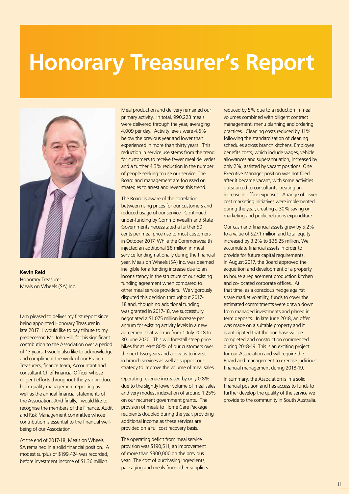# **Honorary Treasurer's Report**



**Kevin Reid** Honorary Treasurer Meals on Wheels (SA) Inc.

I am pleased to deliver my first report since being appointed Honorary Treasurer in late 2017. I would like to pay tribute to my predecessor, Mr. John Hill, for his significant contribution to the Association over a period of 13 years. I would also like to acknowledge and compliment the work of our Branch Treasurers, finance team, Accountant and consultant Chief Financial Officer whose diligent efforts throughout the year produce high-quality management reporting as well as the annual financial statements of the Association. And finally, I would like to recognise the members of the Finance, Audit and Risk Management committee whose contribution is essential to the financial wellbeing of our Association.

At the end of 2017-18, Meals on Wheels SA remained in a solid financial position. A modest surplus of \$199,424 was recorded, before investment income of \$1.36 million.

Meal production and delivery remained our primary activity. In total, 990,223 meals were delivered through the year, averaging 4,009 per day. Activity levels were 4.6% below the previous year and lower than experienced in more than thirty years. This reduction in service use stems from the trend for customers to receive fewer meal deliveries and a further 4.3% reduction in the number of people seeking to use our service. The Board and management are focussed on strategies to arrest and reverse this trend.

The Board is aware of the correlation between rising prices for our customers and reduced usage of our service. Continued under-funding by Commonwealth and State Governments necessitated a further 50 cents per meal price rise to most customers in October 2017. While the Commonwealth injected an additional \$8 million in meal service funding nationally during the financial year, Meals on Wheels (SA) Inc. was deemed ineligible for a funding increase due to an inconsistency in the structure of our existing funding agreement when compared to other meal service providers. We vigorously disputed this decision throughout 2017- 18 and, though no additional funding was granted in 2017-18, we successfully negotiated a \$1.075 million increase per annum for existing activity levels in a new agreement that will run from 1 July 2018 to 30 June 2020. This will forestall steep price hikes for at least 80% of our customers over the next two years and allow us to invest in branch services as well as support our strategy to improve the volume of meal sales.

Operating revenue increased by only 0.8% due to the slightly lower volume of meal sales and very modest indexation of around 1.25% on our recurrent government grants. The provision of meals to Home Care Package recipients doubled during the year, providing additional income as these services are provided on a full cost recovery basis.

The operating deficit from meal service provision was \$190,511, an improvement of more than \$300,000 on the previous year. The cost of purchasing ingredients, packaging and meals from other suppliers reduced by 5% due to a reduction in meal volumes combined with diligent contract management, menu planning and ordering practices. Cleaning costs reduced by 11% following the standardisation of cleaning schedules across branch kitchens. Employee benefits costs, which include wages, vehicle allowances and superannuation, increased by only 2%, assisted by vacant positions. One Executive Manager position was not filled after it became vacant, with some activities outsourced to consultants creating an increase in office expenses. A range of lower cost marketing initiatives were implemented during the year, creating a 30% saving on marketing and public relations expenditure.

Our cash and financial assets grew by 5.2% to a value of \$27.1 million and total equity increased by 3.2% to \$36.25 million. We accumulate financial assets in order to provide for future capital requirements. In August 2017, the Board approved the acquisition and development of a property to house a replacement production kitchen and co-located corporate offices. At that time, as a conscious hedge against share market volatility, funds to cover the estimated commitments were drawn down from managed investments and placed in term deposits. In late June 2018, an offer was made on a suitable property and it is anticipated that the purchase will be completed and construction commenced during 2018-19. This is an exciting project for our Association and will require the Board and management to exercise judicious financial management during 2018-19.

In summary, the Association is in a solid financial position and has access to funds to further develop the quality of the service we provide to the community in South Australia.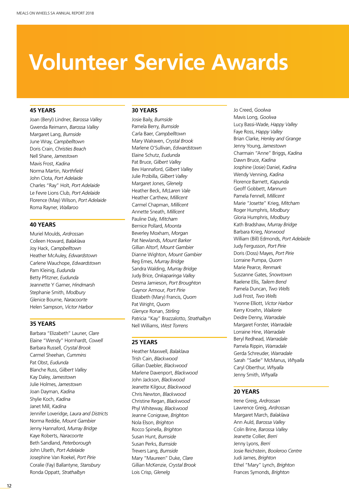# **Volunteer Service Awards**

## **45 YEARS**

Joan (Beryl) Lindner, *Barossa Valley* Gwenda Reimann, *Barossa Valley* Margaret Lang, *Burnside* June Wray, *Campbelltown* Doris Crain, *Christies Beach* Nell Shane, *Jamestown* Mavis Frost, *Kadina* Norma Martin, *Northfield* John Clota, *Port Adelaide* Charles "Ray" Holt, *Port Adelaide* Le Fevre Lions Club, *Port Adelaide* Florence (May) Wilson, *Port Adelaide* Roma Rayner, *Wallaroo*

# **40 YEARS**

Muriel Moulds, *Ardrossan* Colleen Howard, *Balaklava* Joy Hack, *Campbelltown* Heather McAuley, *Edwardstown* Carlene Wauchope, *Edwardstown* Pam Kleinig, *Eudunda* Betty Pfitzner, *Eudunda* Jeannette Y Garner, *Hindmarsh* Stephanie Smith, *Modbury* Glenice Bourne, *Naracoorte* Helen Sampson, *Victor Harbor*

# **35 YEARS**

Barbara "Elizabeth" Launer, *Clare* Elaine "Wendy" Hornhardt, *Cowell* Barbara Russell, *Crystal Brook* Carmel Sheehan, *Cummins* Pat Obst, *Eudunda* Blanche Russ, *Gilbert Valley* Kay Daley, *Jamestown* Julie Holmes, *Jamestown* Joan Dayman, *Kadina* Shylie Koch, *Kadina* Janet Mill, *Kadina* Jennifer Loveridge, *Laura and Districts* Norma Reddie, *Mount Gambier* Jenny Hannaford, *Murray Bridge* Kaye Roberts, *Naracoorte* Beth Sandland, *Peterborough* John Ulseth, *Port Adelaide* Josephine Van Roekel, *Port Pirie* Coralie (Fay) Ballantyne, *Stansbury* Ronda Oppatt, *Strathalbyn*

# **30 YEARS**

Josie Baily, *Burnside* Pamela Berry, *Burnside* Carla Baer, *Campbelltown* Mary Walraven, *Crystal Brook* Marlene O'Sullivan, *Edwardstown* Elaine Schutz, *Eudunda* Pat Bruce, *Gilbert Valley* Bev Hannaford, *Gilbert Valley* Julie Przibilla, *Gilbert Valley* Margaret Jones, *Glenelg* Heather Beck, *McLaren Vale* Heather Carthew, *Millicent* Carmel Chapman, *Millicent* Annette Sneath, *Millicent* Pauline Daly, *Mitcham* Bernice Pollard, *Moonta* Beverley Moxham, *Morgan* Pat Newlands, *Mount Barker* Gillian Altorf, *Mount Gambier* Dianne Wighton, *Mount Gambier* Reg Emes, *Murray Bridge* Sandra Walding, *Murray Bridge* Judy Brice, *Onkaparinga Valley* Desma Jamieson, *Port Broughton* Gaynor Armour, *Port Pirie* Elizabeth (Mary) Francis, *Quorn* Pat Wright, *Quorn* Glenyce Ronan, *Stirling* Patricia "Kay" Brazzalotto, *Strathalbyn* Nell Williams, *West Torrens*

### **25 YEARS**

Heather Maxwell, *Balaklava* Trish Cain, *Blackwood* Gillian Daebler, *Blackwood* Marlene Davenport, *Blackwood* John Jackson, *Blackwood* Jeanette Kilgour, *Blackwood* Chris Newton, *Blackwood* Christine Regan, *Blackwood* Phyl Whiteway, *Blackwood* Jeanne Conigrave, *Brighton* Nola Elson, *Brighton* Rocco Spinella, *Brighton* Susan Hunt, *Burnside* Susan Perks, *Burnside* Trevers Lang, *Burnside* Mary "Maureen" Duke, *Clare* Gillian McKenzie, *Crystal Brook* Lois Crisp, *Glenelg*

Jo Creed, *Goolwa* Mavis Long, *Goolwa* Lucy Bassi-Wade, *Happy Valley* Faye Ross, *Happy Valley* Brian Clarke, *Henley and Grange* Jenny Young, *Jamestown* Charmain "Anne" Briggs, *Kadina* Dawn Bruce, *Kadina* Josphine (Josie) Daniel, *Kadina* Wendy Venning, *Kadina* Florence Barnett, *Kapunda* Geoff Gobbett, *Mannum* Pamela Fennell, *Millicent* Marie "Josette" Krieg, *Mitcham* Roger Humphris, *Modbury* Gloria Humphris, *Modbury* Kath Bradshaw, *Murray Bridge* Barbara Krieg, *Norwood* William (Bill) Edmonds, *Port Adelaide* Judy Fergusson, *Port Pirie* Doris (Doss) Mayes, *Port Pirie* Lorraine Pumpa, *Quorn* Marie Pearce, *Renmark* Suszanne Gates, *Snowtown* Raelene Ellis, *Tailem Bend* Pamela Duncan, *Two Wells* Judi Frost, *Two Wells* Yvonne Elliott, *Victor Harbor* Kerry Kroehn, *Waikerie* Deidre Denny, *Warradale* Margaret Forster, *Warradale* Lorraine Hine, *Warradale* Beryl Redhead, *Warradale* Pamela Rippin, *Warradale* Gerda Schreuder, *Warradale* Sarah "Sadie" McManus, *Whyalla* Caryl Oberthur, *Whyalla* Jenny Smith, *Whyalla*

# **20 YEARS**

Irene Greig, *Ardrossan* Lawrence Greig, *Ardrossan* Margaret March, *Balaklava* Ann Auld, *Barossa Valley* Colin Brine, *Barossa Valley* Jeanette Collier, *Berri* Jenny Lyons, *Berri* Josie Reichstein, *Booleroo Centre* Judi James, *Brighton* Ethel "Mary" Lynch, *Brighton* Frances Symonds, *Brighton*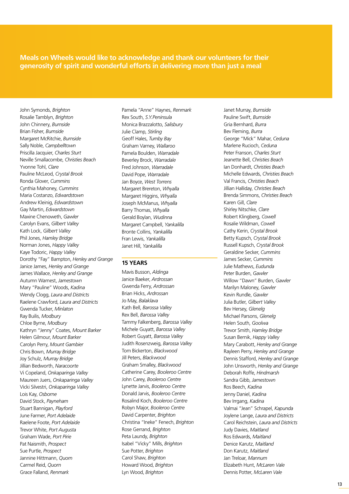**Meals on Wheels would like to acknowledge and thank our volunteers for their<br>generosity of spirit and wonderful efforts in delivering more than just a meal generosity of spirit and wonderful efforts in delivering more than just a meal**

> John Symonds, *Brighton* Rosalie Tamblyn, *Brighton* John Chinnery, *Burnside* Brian Fisher, *Burnside* Margaret McRitchie, *Burnside* Sally Noble, *Campbelltown* Priscilla Jacquier, *Charles Sturt* Neville Smallacombe, *Christies Beach* Yvonne Tohl, *Clare* Pauline McLeod, *Crystal Brook* Ronda Glover, *Cummins* Cynthia Mahoney, *Cummins* Maria Costanzo, *Edwardstown* Andrew Kleinig, *Edwardstown* Gay Martin, *Edwardstown* Maxine Chenoweth, *Gawler* Carolyn Evans, *Gilbert Valley* Kath Lock, *Gilbert Valley* Phil Jones, *Hamley Bridge* Norman Jones, *Happy Valley* Kaye Todoric, *Happy Valley* Dorothy "Fay" Bampton, *Henley and Grange* Janice James, *Henley and Grange* James Wallace, *Henley and Grange* Autumn Warnest, *Jamestown* Mary "Pauline" Woods, *Kadina* Wendy Clogg, *Laura and Districts* Raelene Crawford, *Laura and Districts* Gwenda Tucker, *Minlaton* Ray Builis, *Modbury* Chloe Byrne, *Modbury* Kathryn "Jenny" Coates, *Mount Barker* Helen Gilmour, *Mount Barker* Carolyn Perry, *Mount Gambier* Chris Bown, *Murray Bridge* Joy Schulz, *Murray Bridge* Jillian Bedworth, *Naracoorte* Vi Copeland, *Onkaparinga Valley* Maureen Juers, *Onkaparinga Valley* Vicki Silvestri, *Onkaparinga Valley* Lois Kay, *Osborne* David Stock, *Payneham* Stuart Bannigan, *Playford* June Farmer, *Port Adelaide* Raelene Foote, *Port Adelaide* Trevor White, *Port Augusta* Graham Wade, *Port Pirie* Pat Naismith, *Prospect* Sue Purtle, *Prospect* Jannine Hittmann, *Quorn* Carmel Reid, *Quorn* Grace Falland, *Renmark*

Pamela "Anne" Haynes, *Renmark* Rex South, *S.Y.Peninsula* Monica Brazzalotto, *Salisbury* Julie Clamp, *Stirling* Geoff Hales, *Tumby Bay* Graham Varney, *Wallaroo* Pamela Boulden, *Warradale* Beverley Brock, *Warradale* Fred Johnson, *Warradale* David Pope, *Warradale* Jan Boyce, *West Torrens* Margaret Brereton, *Whyalla* Margaret Higgins, *Whyalla* Joseph McManus, *Whyalla* Barry Thomas, *Whyalla* Gerald Boylan, *Wudinna* Margaret Campbell, *Yankalilla* Bronte Collins, *Yankalilla* Fran Lewis, *Yankalilla* Janet Hill, *Yankalilla*

# **15 YEARS**

Mavis Busson, *Aldinga* Janice Baeker, *Ardrossan* Gwenda Ferry, *Ardrossan* Brian Hicks, *Ardrossan* Jo May, *Balaklava* Kath Bell, *Barossa Valley* Rex Bell, *Barossa Valley* Tammy Falkenberg, *Barossa Valley* Michele Guyatt, *Barossa Valley* Robert Guyatt, *Barossa Valley* Judith Rosenzweig, *Barossa Valley* Tom Bickerton, *Blackwood* Jill Peters, *Blackwood* Graham Smalley, *Blackwood* Catherine Carey, *Booleroo Centre* John Carey, *Booleroo Centre* Lynette Jarvis, *Booleroo Centre* Donald Jarvis, *Booleroo Centre* Rosalind Koch, *Booleroo Centre* Robyn Major, *Booleroo Centre* David Carpenter, *Brighton* Christina "Ineke" Fenech, *Brighton* Rose Gerrand, *Brighton* Peta Laundy, *Brighton* Isabel "Vicky" Mills, *Brighton* Sue Potter, *Brighton* Carol Shaw, *Brighton* Howard Wood, *Brighton* Lyn Wood, *Brighton*

Janet Murray, *Burnside* Pauline Swift, *Burnside* Gria Bernhard, *Burra* Bev Fleming, *Burra* George "Mick" Mahar, *Ceduna* Marlene Rucioch, *Ceduna* Peter Franson, *Charles Sturt* Jeanette Bell, *Christies Beach* Ian Donhardt, *Christies Beach* Michelle Edwards, *Christies Beach* Val Francis, *Christies Beach* Jillian Halliday, *Christies Beach* Brenda Simmons, *Christies Beach* Karen Gill, *Clare* Shirley Nitschke, *Clare* Robert Klingberg, *Cowell* Rosalie Wildman, *Cowell* Cathy Kerin, *Crystal Brook* Betty Kupsch, *Crystal Brook* Russell Kupsch, *Crystal Brook* Geraldine Secker, *Cummins* James Secker, *Cummins* Julie Mathews, *Eudunda* Peter Burden, *Gawler* Willow "Dawn" Burden, *Gawler* Marilyn Maloney, *Gawler* Kevin Rundle, *Gawler* Julia Butler, *Gilbert Valley* Bev Hersey, *Glenelg* Michael Parsons, *Glenelg* Helen South, *Goolwa* Trevor Smith, *Hamley Bridge* Susan Bernik, *Happy Valley* Mary Carabott, *Henley and Grange* Rayleen Perry, *Henley and Grange* Dennis Stafford, *Henley and Grange* John Unsworth, *Henley and Grange* Deborah Roffe, *Hindmarsh* Sandra Gibb, *Jamestown* Ros Beech, *Kadina* Jenny Daniel, *Kadina* Bev Irrgang, *Kadina* Valmai "Jean" Schrapel, *Kapunda* Joylene Lange, *Laura and Districts* Carol Reichstein, *Laura and Districts* Judy Davies, *Maitland* Ros Edwards, *Maitland* Denice Karutz, *Maitland* Don Karutz, *Maitland* Jan Treloar, *Mannum* Elizabeth Hunt, *McLaren Vale* Dennis Potter, *McLaren Vale*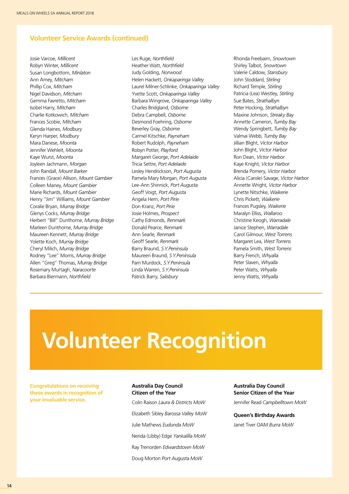# **Volunteer Service Awards (continued)**

Josie Varcoe, *Millicent* Robyn Winter, *Millicent* Susan Longbottom, *Minlaton* Ann Amey, *Mitcham* Phillip Cox, *Mitcham* Nigel Davidson, *Mitcham* Gemma Favretto, *Mitcham* Isobel Harry, *Mitcham* Charlie Kotkowich, *Mitcham* Frances Scobie, *Mitcham* Glenda Haines, *Modbury* Keryn Harper, *Modbury* Mara Danese, *Moonta* Jennifer Wehleit, *Moonta* Kaye Wurst, *Moonta* Joyleen Jachmann, *Morgan* John Randall, *Mount Barker* Frances (Grace) Allison, *Mount Gambier* Colleen Maney, *Mount Gambier* Marie Richards, *Mount Gambier* Henry "Jim" Williams, *Mount Gambier* Coralie Bryan, *Murray Bridge* Glenys Cocks, *Murray Bridge* Herbert "Bill" Dunthorne, *Murray Bridge* Marleen Dunthorne, *Murray Bridge* Maureen Kennett, *Murray Bridge* Yolette Koch, *Murray Bridge* Cheryl Milich, *Murray Bridge* Rodney "Lee" Morris, *Murray Bridge* Allen "Greg" Thomas, *Murray Bridge* Rosemary Murtagh, *Naracoorte* Barbara Biermann, *Northfield*

Les Ruge, *Northfield* Heather Watt, *Northfield* Judy Golding, *Norwood* Helen Hackett, *Onkaparinga Valley* Laurel Milner-Schlinke, *Onkaparinga Valley* Yvette Scott, *Onkaparinga Valley* Barbara Wingrove, *Onkaparinga Valley* Charles Bridgland, *Osborne* Debra Campbell, *Osborne* Desmond Foehring, *Osborne* Beverley Gray, *Osborne* Carmel Kitschke, *Payneham* Robert Rudolph, *Payneham* Robyn Potter, *Playford* Margaret George, *Port Adelaide* Tricia Settre, *Port Adelaide* Lesley Hendrickson, *Port Augusta* Pamela Mary Morgan, *Port Augusta* Lee-Ann Shinnick, *Port Augusta* Geoff Voigt, *Port Augusta* Angela Hern, *Port Pirie* Don Kranz, *Port Pirie* Josie Holmes, *Prospect* Cathy Edmonds, *Renmark* Donald Pearce, *Renmark* Ann Searle, *Renmark* Geoff Searle, *Renmark* Barry Braund, *S.Y.Peninsula* Maureen Braund, *S.Y.Peninsula* Pam Murdock, *S.Y.Peninsula* Linda Warren, *S.Y.Peninsula* Patrick Barry, *Salisbury*

Rhonda Freebairn, *Snowtown* Shirley Talbot, *Snowtown* Valerie Caldow, *Stansbury* John Stoddard, *Stirling* Richard Temple, *Stirling* Patricia (Lea) Westley, *Stirling* Sue Bates, *Strathalbyn* Peter Hocking, *Strathalbyn* Maxine Johnson, *Streaky Bay* Annette Cameron, *Tumby Bay* Wendy Springbett, *Tumby Bay* Valmai Webb, *Tumby Bay* Jillian Blight, *Victor Harbor* John Blight, *Victor Harbor* Ron Dean, *Victor Harbor* Kaye Knight, *Victor Harbor* Brenda Pomery, *Victor Harbor* Alicia (Carole) Savage, *Victor Harbor* Annette Wright, *Victor Harbor* Lynette Nitschke, *Waikerie* Chris Pickett, *Waikerie* Frances Pugsley, *Waikerie* Maralyn Elliss, *Wallaroo* Christine Keogh, *Warradale* Janice Stephen, *Warradale* Carol Gilmour, *West Torrens* Margaret Lea, *West Torrens* Pamela Smith, *West Torrens* Barry French, *Whyalla* Peter Slaven, *Whyalla* Peter Watts, *Whyalla* Jenny Watts, *Whyalla*

# **Volunteer Recognition**

**Congratulations on receiving these awards in recognition of your invaluable service.**

#### **Australia Day Council Citizen of the Year**

Colin Raison *Laura & Districts MoW* Elizabeth Sibley *Barossa Valley MoW* Julie Mathews *Eudunda MoW* Nerida (Libby) Edge *Yankalilla MoW* Ray Trenorden *Edwardstown MoW* Doug Morton *Port Augusta MoW*

**Australia Day Council Senior Citizen of the Year**

Jennifer Read *Campbelltown MoW*

**Queen's Birthday Awards** Janet Tiver OAM *Burra MoW*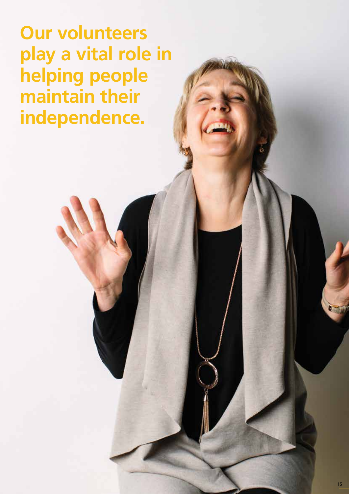**Our volunteers play a vital role in helping people maintain their independence.**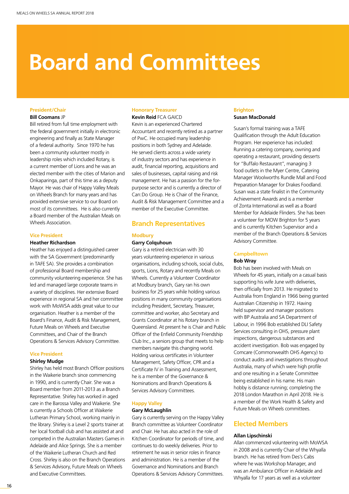# **Board and Committees**

## **President/Chair**

#### **Bill Coomans** JP

Bill retired from full time employment with the federal government initially in electronic engineering and finally as State Manager of a federal authority. Since 1970 he has been a community volunteer mostly in leadership roles which included Rotary, is a current member of Lions and he was an elected member with the cities of Marion and Onkaparinga, part of this time as a deputy Mayor. He was chair of Happy Valley Meals on Wheels Branch for many years and has provided extensive service to our Board on most of its committees. He is also currently a Board member of the Australian Meals on Wheels Association.

#### **Vice President**

### **Heather Richardson**

Heather has enjoyed a distinguished career with the SA Government (predominantly in TAFE SA). She provides a combination of professional Board membership and community volunteering experience. She has led and managed large corporate teams in a variety of disciplines. Her extensive Board experience in regional SA and her committee work with MoWSA adds great value to our organisation. Heather is a member of the Board's Finance, Audit & Risk Management, Future Meals on Wheels and Executive Committees, and Chair of the Branch Operations & Services Advisory Committee.

#### **Vice President**

#### **Shirley Mudge**

Shirley has held most Branch Officer positions in the Waikerie branch since commencing in 1990, and is currently Chair. She was a Board member from 2011-2013 as a Branch Representative. Shirley has worked in aged care in the Barossa Valley and Waikerie. She is currently a Schools Officer at Waikerie Lutheran Primary School, working mainly in the library. Shirley is a Level 2 sports trainer at her local football club and has assisted at and competed in the Australian Masters Games in Adelaide and Alice Springs. She is a member of the Waikerie Lutheran Church and Red Cross. Shirley is also on the Branch Operations & Services Advisory, Future Meals on Wheels and Executive Committees.

## **Honorary Treasurer**

**Kevin Reid** FCA GAICD

Kevin is an experienced Chartered Accountant and recently retired as a partner of PwC. He occupied many leadership positions in both Sydney and Adelaide. He served clients across a wide variety of industry sectors and has experience in audit, financial reporting, acquisitions and sales of businesses, capital raising and risk management. He has a passion for the forpurpose sector and is currently a director of Can:Do Group. He is Chair of the Finance, Audit & Risk Management Committee and a member of the Executive Committee.

# **Branch Representatives**

#### **Modbury**

### **Garry Colquhoun**

Gary is a retired electrician with 30 years volunteering experience in various organisations, including schools, social clubs, sports, Lions, Rotary and recently Meals on Wheels. Currently a Volunteer Coordinator at Modbury branch, Gary ran his own business for 25 years while holding various positions in many community organisations including President, Secretary, Treasurer, committee and worker, also Secretary and Grants Coordinator at his Rotary branch in Queensland. At present he is Chair and Public Officer of the Enfield Community Friendship Club Inc., a seniors group that meets to help members navigate this changing world. Holding various certificates in Volunteer Management, Safety Officer, CPR and a Certificate IV in Training and Assessment, he is a member of the Governance & Nominations and Branch Operations & Services Advisory Committees.

# **Happy Valley**

# **Gary McLaughlin**

Gary is currently serving on the Happy Valley Branch committee as Volunteer Coordinator and Chair. He has also acted in the role of Kitchen Coordinator for periods of time, and continues to do weekly deliveries. Prior to retirement he was in senior roles in finance and administration. He is a member of the Governance and Nominations and Branch Operations & Services Advisory Committees.

#### **Brighton Susan MacDonald**

Susan's formal training was a TAFE Qualification through the Adult Education Program. Her experience has included: Running a catering company, owning and operating a restaurant, providing desserts for "Buffalo Restaurant", managing 3 food outlets in the Myer Centre, Catering Manager Woolworths Rundle Mall and Food Preparation Manager for Drakes Foodland. Susan was a state finalist in the Community Achievement Awards and is a member of Zonta International as well as a Board Member for Adelaide Flinders. She has been a volunteer for MOW Brighton for 5 years and is currently Kitchen Supervisor and a member of the Branch Operations & Services Advisory Committee.

# **Campbelltown**

# **Bob Wray**

Bob has been involved with Meals on Wheels for 45 years, initially on a casual basis supporting his wife June with deliveries, then officially from 2013. He migrated to Australia from England in 1966 being granted Australian Citizenship in 1972. Having held supervisor and manager positions with BP Australia and SA Department of Labour, in 1996 Bob established DLI Safety Services consulting in OHS, pressure plant inspections, dangerous substances and accident investigation. Bob was engaged by Comcare (Commonwealth OHS Agency) to conduct audits and investigations throughout Australia, many of which were high profile and one resulting in a Senate Committee being established in his name. His main hobby is distance running; completing the 2018 London Marathon in April 2018. He is a member of the Work Health & Safety and Future Meals on Wheels committees.

# **Elected Members**

#### **Allan Lipschinski**

Allan commenced volunteering with MoWSA in 2008 and is currently Chair of the Whyalla branch. He has retired from Des's Cabs where he was Workshop Manager, and was an Ambulance Officer in Adelaide and Whyalla for 17 years as well as a volunteer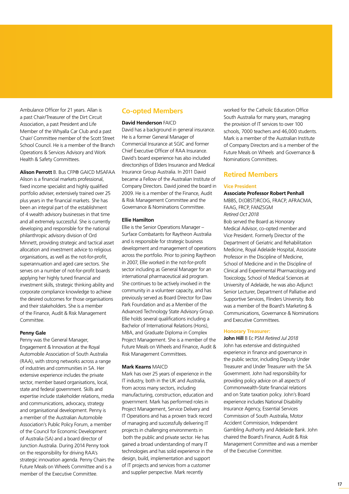Ambulance Officer for 21 years. Allan is a past Chair/Treasurer of the Dirt Circuit Association, a past President and Life Member of the Whyalla Car Club and a past Chair/ Committee member of the Scott Street School Council. He is a member of the Branch Operations & Services Advisory and Work Health & Safety Committees.

**Alison Perrott** B. Bus CFP® GAICD MSAFAA Alison is a financial markets professional, fixed income specialist and highly qualified portfolio adviser, extensively trained over 25 plus years in the financial markets. She has been an integral part of the establishment of 4 wealth advisory businesses in that time and all extremely successful. She is currently developing and responsible for the national philanthropic advisory division of Ord Minnett, providing strategic and tactical asset allocation and investment advice to religious organisations, as well as the not-for-profit, superannuation and aged care sectors. She serves on a number of not-for-profit boards applying her highly tuned financial and investment skills, strategic thinking ability and corporate compliance knowledge to achieve the desired outcomes for those organisations and their stakeholders. She is a member of the Finance, Audit & Risk Management Committee.

#### **Penny Gale**

Penny was the General Manager, Engagement & Innovation at the Royal Automobile Association of South Australia (RAA), with strong networks across a range of industries and communities in SA. Her extensive experience includes the private sector, member based organisations, local, state and federal government. Skills and expertise include stakeholder relations, media and communications, advocacy, strategy and organisational development. Penny is a member of the Australian Automobile Association's Public Policy Forum, a member of the Council for Economic Development of Australia (SA) and a board director of Junction Australia. During 2014 Penny took on the responsibility for driving RAA's strategic innovation agenda. Penny Chairs the Future Meals on Wheels Committee and is a member of the Executive Committee.

# **Co-opted Members**

## **David Henderson** FAICD

David has a background in general insurance. He is a former General Manager of Commercial Insurance at SGIC and former Chief Executive Officer of RAA Insurance. David's board experience has also included directorships of Elders Insurance and Medical Insurance Group Australia. In 2011 David became a Fellow of the Australian Institute of Company Directors. David joined the board in 2009. He is a member of the Finance, Audit & Risk Management Committee and the Governance & Nominations Committee.

### **Ellie Hamilton**

Ellie is the Senior Operations Manager – Surface Combatants for Raytheon Australia and is responsible for strategic business development and management of operations across the portfolio. Prior to joining Raytheon in 2007, Ellie worked in the not-for-profit sector including as General Manager for an international pharmaceutical aid program. She continues to be actively involved in the community in a volunteer capacity, and has previously served as Board Director for Daw Park Foundation and as a Member of the Advanced Technology State Advisory Group. Ellie holds several qualifications including a Bachelor of International Relations (Hons), MBA, and Graduate Diploma in Complex Project Management. She is a member of the Future Meals on Wheels and Finance, Audit & Risk Management Committees.

#### **Mark Kearns** MAICD

Mark has over 25 years of experience in the IT industry, both in the UK and Australia, from across many sectors, including manufacturing, construction, education and government. Mark has performed roles in Project Management, Service Delivery and IT Operations and has a proven track record of managing and successfully delivering IT projects in challenging environments in both the public and private sector. He has gained a broad understanding of many IT technologies and has solid experience in the design, build, implementation and support of IT projects and services from a customer and supplier perspective. Mark recently

worked for the Catholic Education Office South Australia for many years, managing the provision of IT services to over 100 schools, 7000 teachers and 46,000 students. Mark is a member of the Australian Institute of Company Directors and is a member of the Future Meals on Wheels and Governance & Nominations Committees.

# **Retired Members**

#### **Vice President**

**Associate Professor Robert Penhall** 

MBBS, D(OBST)RCOG, FRACP, AFRACMA, FAAG, FRCP, FANZSGM *Retired Oct 2018* Bob served the Board as Honorary Medical Advisor, co-opted member and Vice President. Formerly Director of the Department of Geriatric and Rehabilitation Medicine, Royal Adelaide Hospital, Associate

Professor in the Discipline of Medicine, School of Medicine and in the Discipline of Clinical and Experimental Pharmacology and Toxicology, School of Medical Sciences at University of Adelaide, he was also Adjunct Senior Lecturer, Department of Palliative and Supportive Services, Flinders University. Bob was a member of the Board's Marketing & Communications, Governance & Nominations and Executive Committees.

#### **Honorary Treasurer:**

**John Hill** B Ec PSM *Retired Jul 2018* John has extensive and distinguished experience in finance and governance in the public sector, including Deputy Under Treasurer and Under Treasurer with the SA Government. John had responsibility for providing policy advice on all aspects of Commonwealth-State financial relations and on State taxation policy. John's Board experience includes National Disability Insurance Agency, Essential Services Commission of South Australia, Motor Accident Commission, Independent Gambling Authority and Adelaide Bank. John chaired the Board's Finance, Audit & Risk Management Committee and was a member of the Executive Committee.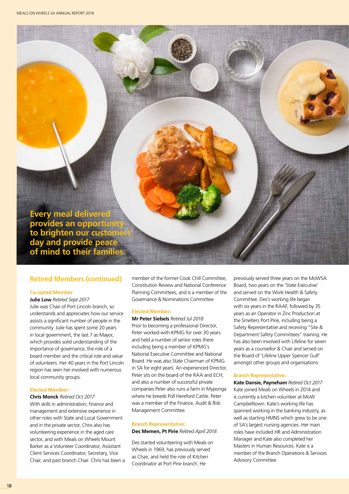**Every meal delivered provides an opportunity**  to brighten our custome **day and provide peace of mind to their families.**

# **Retired Members (continued)**

### **Co-opted Member**

**Julie Low** *Retired Sept 2017* Julie was Chair of Port Lincoln branch, so understands and appreciates how our service assists a significant number of people in the community. Julie has spent some 20 years in local government, the last 7 as Mayor, which provides solid understanding of the importance of governance, the role of a board member and the critical role and value of volunteers. Her 40 years in the Port Lincoln region has seen her involved with numerous local community groups.

#### **Elected Member:**

#### **Chris Monck** *Retired Oct 2017*

With skills in administration, finance and management and extensive experience in other roles with State and Local Government and in the private sector, Chris also has volunteering experience in the aged care sector, and with Meals on Wheels Mount Barker as a Volunteer Coordinator, Assistant Client Services Coordinator, Secretary, Vice Chair, and past branch Chair. Chris has been a member of the former Cook Chill Committee, Constitution Review and National Conference Planning Committees, and is a member of the Governance & Nominations Committee.

### **Elected Member:**

**Mr Peter Siebels** *Retired Jul 2018* Prior to becoming a professional Director, Peter worked with KPMG for over 30 years and held a number of senior roles there including being a member of KPMG's National Executive Committee and National Board. He was also State Chairman of KPMG in SA for eight years. An experienced Director, Peter sits on the board of the RAA and ECH, and also a number of successful private companies Peter also runs a farm in Myponga where he breeds Poll Hereford Cattle. Peter was a member of the Finance, Audit & Risk Management Committee.

#### **Branch Representative:**

**Des Memen, Pt Pirie** *Retired April 2018*

Des started volunteering with Meals on Wheels in 1969, has previously served as Chair, and held the role of Kitchen Coordinator at Port Pirie branch. He

previously served three years on the MoWSA Board, two years on the 'State Executive' and served on the Work Health & Safety Committee. Des's working life began with six years in the RAAF, followed by 35 years as an Operator in Zinc Production at the Smelters Port Pirie, including being a Safety Representative and receiving "Site & Department Safety Committees" training. He has also been involved with Lifeline for seven years as a counsellor & Chair and served on the Board of 'Lifeline Upper Spencer Gulf' amongst other groups and organisations.

### **Branch Representative:**

**Kate Dansie, Payneham** *Retired Oct 2017* Kate joined Meals on Wheels in 2014 and is currently a kitchen volunteer at MoW Campbelltown. Kate's working life has spanned working in the banking industry, as well as starting HMNS which grew to be one of SA's largest nursing agencies. Her main roles have included HR and Administration Manager and Kate also completed her Masters in Human Resources. Kate is a member of the Branch Operations & Services Advisory Committee.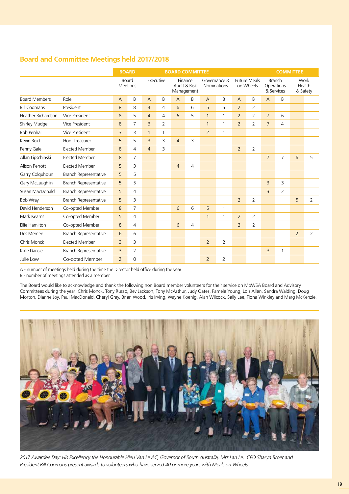# **Board and Committee Meetings held 2017/2018**

|                      |                              |                | <b>BOARD</b><br><b>BOARD COMMITTEE</b> |                |                |                |                                       |                |                                    |                | <b>COMMITTEE</b>                 |                             |                |                |                            |
|----------------------|------------------------------|----------------|----------------------------------------|----------------|----------------|----------------|---------------------------------------|----------------|------------------------------------|----------------|----------------------------------|-----------------------------|----------------|----------------|----------------------------|
|                      |                              | Board          | Meetings                               |                | Executive      |                | Finance<br>Audit & Risk<br>Management |                | Governance &<br><b>Nominations</b> |                | <b>Future Meals</b><br>on Wheels | <b>Branch</b><br>& Services | Operations     |                | Work<br>Health<br>& Safety |
| <b>Board Members</b> | Role                         | A              | B                                      | $\overline{A}$ | B              | $\overline{A}$ | B                                     | $\overline{A}$ | B                                  | $\overline{A}$ | B                                | $\overline{A}$              | B              |                |                            |
| <b>Bill Coomans</b>  | President                    | 8              | 8                                      | $\overline{4}$ | $\overline{4}$ | 6              | 6                                     | 5              | 5                                  | $\overline{2}$ | $\overline{2}$                   |                             |                |                |                            |
| Heather Richardson   | Vice President               | 8              | 5                                      | $\overline{4}$ | 4              | 6              | 5                                     | $\mathbf{1}$   | $\mathbf{1}$                       | $\overline{2}$ | 2                                | $\overline{7}$              | 6              |                |                            |
| Shirley Mudge        | Vice President               | 8              | $\overline{7}$                         | 3              | $\overline{2}$ |                |                                       | $\mathbf{1}$   | 1                                  | $\overline{2}$ | $\overline{2}$                   | $\overline{7}$              | 4              |                |                            |
| <b>Bob Penhall</b>   | Vice President               | $\overline{3}$ | 3                                      | $\mathbf{1}$   | $\mathbf{1}$   |                |                                       | $\overline{2}$ | $\mathbf{1}$                       |                |                                  |                             |                |                |                            |
| Kevin Reid           | Hon. Treasurer               | 5              | 5                                      | 3              | 3              | $\overline{4}$ | 3                                     |                |                                    |                |                                  |                             |                |                |                            |
| Penny Gale           | <b>Elected Member</b>        | 8              | $\overline{4}$                         | $\overline{4}$ | 3              |                |                                       |                |                                    | $\overline{2}$ | $\overline{2}$                   |                             |                |                |                            |
| Allan Lipschinski    | <b>Elected Member</b>        | 8              | $\overline{7}$                         |                |                |                |                                       |                |                                    |                |                                  | $\overline{7}$              | $\overline{7}$ | 6              | 5                          |
| Alison Perrott       | <b>Elected Member</b>        | 5              | 3                                      |                |                | $\overline{4}$ | 4                                     |                |                                    |                |                                  |                             |                |                |                            |
| Garry Colguhoun      | <b>Branch Representative</b> | 5              | 5                                      |                |                |                |                                       |                |                                    |                |                                  |                             |                |                |                            |
| Gary McLaughlin      | Branch Representative        | 5              | 5                                      |                |                |                |                                       |                |                                    |                |                                  | $\overline{3}$              | 3              |                |                            |
| Susan MacDonald      | <b>Branch Representative</b> | 5              | $\overline{4}$                         |                |                |                |                                       |                |                                    |                |                                  | $\overline{3}$              | 2              |                |                            |
| <b>Bob Wray</b>      | <b>Branch Representative</b> | 5              | 3                                      |                |                |                |                                       |                |                                    | 2              | $\overline{2}$                   |                             |                | 5              | $\overline{2}$             |
| David Henderson      | Co-opted Member              | 8              | $\overline{7}$                         |                |                | 6              | 6                                     | 5              | 1                                  |                |                                  |                             |                |                |                            |
| Mark Kearns          | Co-opted Member              | 5              | 4                                      |                |                |                |                                       | $\mathbf{1}$   | $\mathbf{1}$                       | $\overline{2}$ | 2                                |                             |                |                |                            |
| Ellie Hamilton       | Co-opted Member              | 8              | $\overline{4}$                         |                |                | 6              | 4                                     |                |                                    | $\overline{2}$ | $\overline{2}$                   |                             |                |                |                            |
| Des Memen            | Branch Representative        | 6              | 6                                      |                |                |                |                                       |                |                                    |                |                                  |                             |                | $\overline{2}$ | $\overline{2}$             |
| Chris Monck          | <b>Elected Member</b>        | 3              | 3                                      |                |                |                |                                       | $\overline{2}$ | $\overline{2}$                     |                |                                  |                             |                |                |                            |
| Kate Dansie          | <b>Branch Representative</b> | 3              | 2                                      |                |                |                |                                       |                |                                    |                |                                  | 3                           | 1              |                |                            |
| Julie Low            | Co-opted Member              | $\overline{2}$ | $\mathbf 0$                            |                |                |                |                                       | $\overline{2}$ | $\overline{2}$                     |                |                                  |                             |                |                |                            |

A - number of meetings held during the time the Director held office during the year

B - number of meetings attended as a member

The Board would like to acknowledge and thank the following non Board member volunteers for their service on MoWSA Board and Advisory Committees during the year: Chris Monck, Tony Russo, Bev Jackson, Tony McArthur, Judy Oates, Pamela Young, Lois Allen, Sandra Walding, Doug Morton, Dianne Joy, Paul MacDonald, Cheryl Gray, Brian Wood, Iris Irving, Wayne Koenig, Alan Wilcock, Sally Lee, Fiona Winkley and Marg McKenzie.



*2017 Awardee Day: His Excellency the Honourable Hieu Van Le AC, Governor of South Australia, Mrs Lan Le, CEO Sharyn Broer and President Bill Coomans present awards to volunteers who have served 40 or more years with Meals on Wheels.*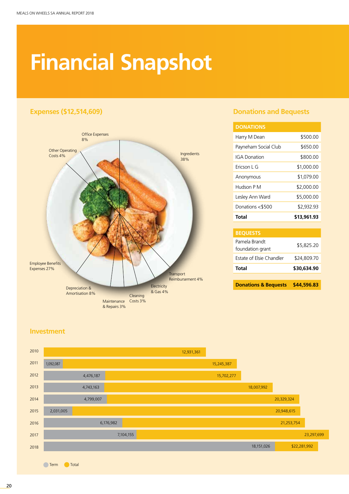# **Financial Snapshot**



# **Expenses (\$12,514,609) Donations and Bequests**

| <b>DONATIONS</b>     |             |
|----------------------|-------------|
| Harry M Dean         | \$500.00    |
| Payneham Social Club | \$650.00    |
| <b>IGA Donation</b>  | \$800.00    |
| Fricson L G          | \$1,000.00  |
| Anonymous            | \$1,079.00  |
| Hudson P M           | \$2,000.00  |
| Lesley Ann Ward      | \$5,000.00  |
| Donations <\$500     | \$2.932.93  |
| Total                | \$13,961.93 |

| Total                             | \$30,634.90 |
|-----------------------------------|-------------|
| Estate of Elsie Chandler          | \$24,809.70 |
| Pamela Brandt<br>foundation grant | \$5,825.20  |
| <b>BEQUESTS</b>                   |             |

**Donations & Bequests \$44,596.83**

# **Investment**

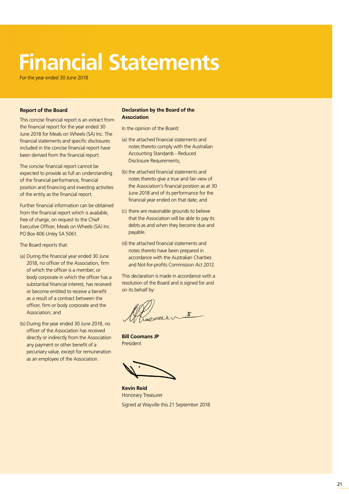# **Financial Statements**

For the year ended 30 June 2018

### **Report of the Board**

This concise financial report is an extract from the financial report for the year ended 30 June 2018 for Meals on Wheels (SA) Inc. The financial statements and specific disclosures included in the concise financial report have been derived from the financial report.

The concise financial report cannot be expected to provide as full an understanding of the financial performance, financial position and financing and investing activities of the entity as the financial report.

Further financial information can be obtained from the financial report which is available, free of charge, on request to the Chief Executive Officer, Meals on Wheels (SA) Inc. PO Box 406 Unley SA 5061.

The Board reports that:

- (a) During the financial year ended 30 June 2018, no officer of the Association, firm of which the officer is a member, or body corporate in which the officer has a substantial financial interest, has received or become entitled to receive a benefit as a result of a contract between the officer, firm or body corporate and the Association; and
- (b) During the year ended 30 June 2018, no officer of the Association has received directly or indirectly from the Association any payment or other benefit of a pecuniary value, except for remuneration as an employee of the Association.

# **Declaration by the Board of the Association**

In the opinion of the Board:

- (a) the attached financial statements and notes thereto comply with the Australian Accounting Standards - Reduced Disclosure Requirements;
- (b) the attached financial statements and notes thereto give a true and fair view of the Association's financial position as at 30 June 2018 and of its performance for the financial year ended on that date; and
- (c) there are reasonable grounds to believe that the Association will be able to pay its debts as and when they become due and payable.
- (d) the attached financial statements and notes thereto have been prepared in accordance with the Australian Charities and Not-for-profits Commission Act 2012.

This declaration is made in accordance with a resolution of the Board and is signed for and on its behalf by:

 $\pmb{\mathfrak{X}}$ 

**Bill Coomans JP** President

**Kevin Reid** Honorary Treasurer Signed at Wayville this 21 September 2018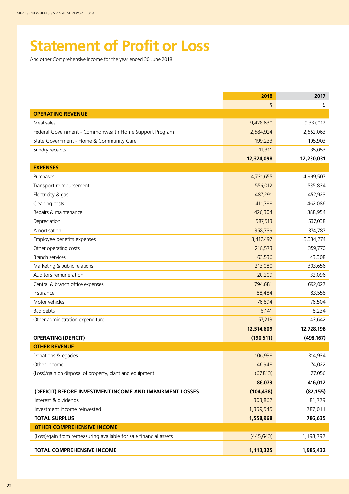# **Statement of Profit or Loss**

And other Comprehensive Income for the year ended 30 June 2018

|                                                                  | 2018       | 2017       |
|------------------------------------------------------------------|------------|------------|
|                                                                  | \$         | \$         |
| <b>OPERATING REVENUE</b>                                         |            |            |
| Meal sales                                                       | 9,428,630  | 9,337,012  |
| Federal Government - Commonwealth Home Support Program           | 2,684,924  | 2,662,063  |
| State Government - Home & Community Care                         | 199,233    | 195,903    |
| Sundry receipts                                                  | 11,311     | 35,053     |
|                                                                  | 12,324,098 | 12,230,031 |
| <b>EXPENSES</b>                                                  |            |            |
| Purchases                                                        | 4,731,655  | 4,999,507  |
| Transport reimbursement                                          | 556,012    | 535,834    |
| Electricity & gas                                                | 487,291    | 452,923    |
| Cleaning costs                                                   | 411,788    | 462,086    |
| Repairs & maintenance                                            | 426,304    | 388,954    |
| Depreciation                                                     | 587,513    | 537,038    |
| Amortisation                                                     | 358,739    | 374,787    |
| Employee benefits expenses                                       | 3,417,497  | 3,334,274  |
| Other operating costs                                            | 218,573    | 359,770    |
| <b>Branch services</b>                                           | 63,536     | 43,308     |
| Marketing & public relations                                     | 213,080    | 303,656    |
| Auditors remuneration                                            | 20,209     | 32,096     |
| Central & branch office expenses                                 | 794,681    | 692,027    |
| Insurance                                                        | 88,484     | 83,558     |
| Motor vehicles                                                   | 76,894     | 76,504     |
| Bad debts                                                        | 5,141      | 8,234      |
| Other administration expenditure                                 | 57,213     | 43,642     |
|                                                                  | 12,514,609 | 12,728,198 |
| <b>OPERATING (DEFICIT)</b>                                       | (190, 511) | (498, 167) |
| <b>OTHER REVENUE</b>                                             |            |            |
| Donations & legacies                                             | 106,938    | 314,934    |
| Other income                                                     | 46,948     | 74,022     |
| (Loss)/gain on disposal of property, plant and equipment         | (67, 813)  | 27,056     |
|                                                                  | 86,073     | 416,012    |
| (DEFICIT) BEFORE INVESTMENT INCOME AND IMPAIRMENT LOSSES         | (104, 438) | (82, 155)  |
| Interest & dividends                                             | 303,862    | 81,779     |
| Investment income reinvested                                     | 1,359,545  | 787,011    |
| <b>TOTAL SURPLUS</b>                                             | 1,558,968  | 786,635    |
| <b>OTHER COMPREHENSIVE INCOME</b>                                |            |            |
| (Loss)/gain from remeasuring available for sale financial assets | (445, 643) | 1,198,797  |
| <b>TOTAL COMPREHENSIVE INCOME</b>                                | 1,113,325  | 1,985,432  |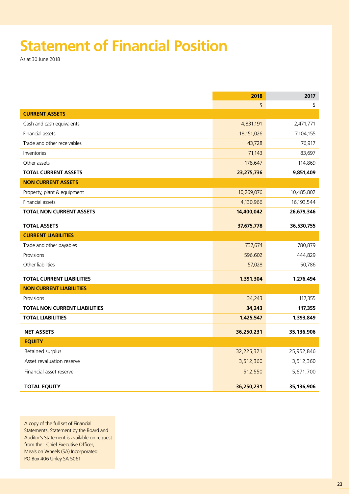# **Statement of Financial Position**

As at 30 June 2018

|                                      | 2018       | 2017       |
|--------------------------------------|------------|------------|
|                                      | \$         | \$         |
| <b>CURRENT ASSETS</b>                |            |            |
| Cash and cash equivalents            | 4,831,191  | 2,471,771  |
| Financial assets                     | 18,151,026 | 7,104,155  |
| Trade and other receivables          | 43,728     | 76,917     |
| Inventories                          | 71,143     | 83,697     |
| Other assets                         | 178,647    | 114,869    |
| <b>TOTAL CURRENT ASSETS</b>          | 23,275,736 | 9,851,409  |
| <b>NON CURRENT ASSETS</b>            |            |            |
| Property, plant & equipment          | 10,269,076 | 10,485,802 |
| Financial assets                     | 4,130,966  | 16,193,544 |
| <b>TOTAL NON CURRENT ASSETS</b>      | 14,400,042 | 26,679,346 |
| <b>TOTAL ASSETS</b>                  | 37,675,778 | 36,530,755 |
| <b>CURRENT LIABILITIES</b>           |            |            |
| Trade and other payables             | 737,674    | 780,879    |
| Provisions                           | 596,602    | 444,829    |
| Other liabilities                    | 57,028     | 50,786     |
| <b>TOTAL CURRENT LIABILITIES</b>     | 1,391,304  | 1,276,494  |
| <b>NON CURRENT LIABILITIES</b>       |            |            |
| Provisions                           | 34,243     | 117,355    |
| <b>TOTAL NON CURRENT LIABILITIES</b> | 34,243     | 117,355    |
| <b>TOTAL LIABILITIES</b>             | 1,425,547  | 1,393,849  |
| <b>NET ASSETS</b>                    | 36,250,231 | 35,136,906 |
| <b>EQUITY</b>                        |            |            |
| Retained surplus                     | 32,225,321 | 25,952,846 |
| Asset revaluation reserve            | 3,512,360  | 3,512,360  |
| Financial asset reserve              | 512,550    | 5,671,700  |
| <b>TOTAL EQUITY</b>                  | 36,250,231 | 35,136,906 |

A copy of the full set of Financial Statements, Statement by the Board and Auditor's Statement is available on request from the: Chief Executive Officer, Meals on Wheels (SA) Incorporated PO Box 406 Unley SA 5061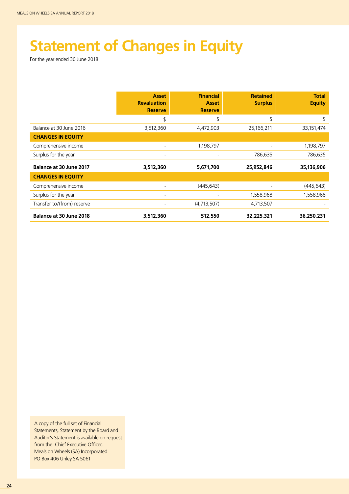# **Statement of Changes in Equity**

For the year ended 30 June 2018

|                                | <b>Asset</b><br><b>Revaluation</b><br><b>Reserve</b> | <b>Financial</b><br><b>Asset</b><br><b>Reserve</b> | <b>Retained</b><br><b>Surplus</b> | <b>Total</b><br><b>Equity</b> |
|--------------------------------|------------------------------------------------------|----------------------------------------------------|-----------------------------------|-------------------------------|
|                                | \$                                                   | \$                                                 | \$                                | \$                            |
| Balance at 30 June 2016        | 3,512,360                                            | 4,472,903                                          | 25,166,211                        | 33, 151, 474                  |
| <b>CHANGES IN EQUITY</b>       |                                                      |                                                    |                                   |                               |
| Comprehensive income           |                                                      | 1,198,797                                          |                                   | 1,198,797                     |
| Surplus for the year           |                                                      |                                                    | 786,635                           | 786,635                       |
| <b>Balance at 30 June 2017</b> | 3,512,360                                            | 5,671,700                                          | 25,952,846                        | 35,136,906                    |
| <b>CHANGES IN EQUITY</b>       |                                                      |                                                    |                                   |                               |
| Comprehensive income           |                                                      | (445, 643)                                         |                                   | (445, 643)                    |
| Surplus for the year           |                                                      |                                                    | 1,558,968                         | 1,558,968                     |
| Transfer to/(from) reserve     |                                                      | (4,713,507)                                        | 4,713,507                         |                               |
| <b>Balance at 30 June 2018</b> | 3,512,360                                            | 512,550                                            | 32,225,321                        | 36,250,231                    |

A copy of the full set of Financial Statements, Statement by the Board and Auditor's Statement is available on request from the: Chief Executive Officer, Meals on Wheels (SA) Incorporated PO Box 406 Unley SA 5061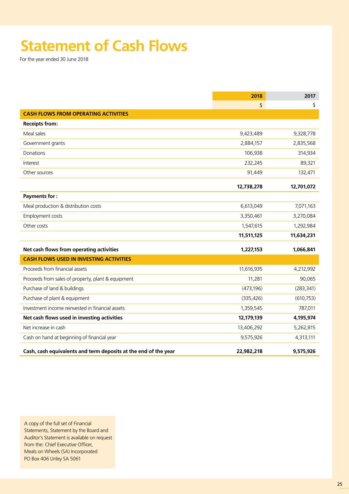# **Statement of Cash Flows**

For the year ended 30 June 2018

|                                                                 | 2018       | 2017       |
|-----------------------------------------------------------------|------------|------------|
|                                                                 | \$         | \$         |
| <b>CASH FLOWS FROM OPERATING ACTIVITIES</b>                     |            |            |
| <b>Receipts from:</b>                                           |            |            |
| Meal sales                                                      | 9,423,489  | 9,328,778  |
| Government grants                                               | 2,884,157  | 2,835,568  |
| Donations                                                       | 106,938    | 314,934    |
| Interest                                                        | 232,245    | 89,321     |
| Other sources                                                   | 91,449     | 132,471    |
|                                                                 | 12,738,278 | 12,701,072 |
| <b>Payments for:</b>                                            |            |            |
| Meal production & distribution costs                            | 6,613,049  | 7,071,163  |
| Employment costs                                                | 3,350,461  | 3,270,084  |
| Other costs                                                     | 1,547,615  | 1,292,984  |
|                                                                 | 11,511,125 | 11,634,231 |
| Net cash flows from operating activities                        | 1,227,153  | 1,066,841  |
| <b>CASH FLOWS USED IN INVESTING ACTIVITIES</b>                  |            |            |
| Proceeds from financial assets                                  | 11,616,935 | 4,212,992  |
| Proceeds from sales of property, plant & equipment              | 11,281     | 90,065     |
| Purchase of land & buildings                                    | (473, 196) | (283, 341) |
| Purchase of plant & equipment                                   | (335, 426) | (610, 753) |
| Investment income reinvested in financial assets                | 1,359,545  | 787,011    |
| Net cash flows used in investing activities                     | 12,179,139 | 4,195,974  |
| Net increase in cash                                            | 13,406,292 | 5,262,815  |
| Cash on hand at beginning of financial year                     | 9,575,926  | 4,313,111  |
| Cash, cash equivalents and term deposits at the end of the year | 22,982,218 | 9,575,926  |

A copy of the full set of Financial Statements, Statement by the Board and Auditor's Statement is available on request from the: Chief Executive Officer, Meals on Wheels (SA) Incorporated PO Box 406 Unley SA 5061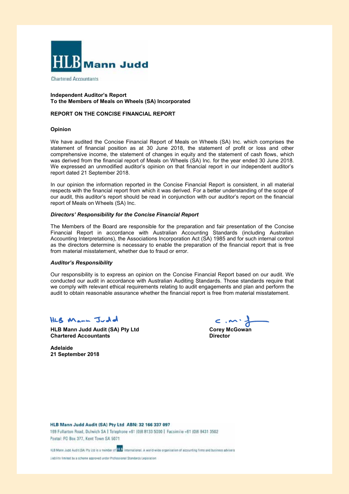

**Chartered Accountants** 

#### **Independent Auditor's Report To the Members of Meals on Wheels (SA) Incorporated**

#### **REPORT ON THE CONCISE FINANCIAL REPORT**

#### **Opinion**

We have audited the Concise Financial Report of Meals on Wheels (SA) Inc. which comprises the statement of financial position as at 30 June 2018, the statement of profit or loss and other comprehensive income, the statement of changes in equity and the statement of cash flows, which was derived from the financial report of Meals on Wheels (SA) Inc. for the year ended 30 June 2018. We expressed an unmodified auditor's opinion on that financial report in our independent auditor's report dated 21 September 2018.

In our opinion the information reported in the Concise Financial Report is consistent, in all material respects with the financial report from which it was derived. For a better understanding of the scope of our audit, this auditor's report should be read in conjunction with our auditor's report on the financial report of Meals on Wheels (SA) Inc.

#### *Directors' Responsibility for the Concise Financial Report*

The Members of the Board are responsible for the preparation and fair presentation of the Concise Financial Report in accordance with Australian Accounting Standards (including Australian Accounting Interpretations), the Associations Incorporation Act (SA) 1985 and for such internal control as the directors determine is necessary to enable the preparation of the financial report that is free from material misstatement, whether due to fraud or error.

#### *Auditor's Responsibility*

Our responsibility is to express an opinion on the Concise Financial Report based on our audit. We conducted our audit in accordance with Australian Auditing Standards. Those standards require that we comply with relevant ethical requirements relating to audit engagements and plan and perform the audit to obtain reasonable assurance whether the financial report is free from material misstatement.

# HLB Mann Judd

**HLB Mann Judd Audit (SA) Pty Ltd Corey McGowan Chartered Accountants**

**Director**

**Adelaide 21 September 2018**

HLB Mann Judd Audit (SA) Pty Ltd ABN: 32 166 337 097 169 Fullarton Road, Dulwich SA | Telephone +61 (0)8 8133 5000 | Facsimile +61 (0)8 8431 3502 Postal: PO Box 377, Kent Town SA 5071

HLB Mann Judd Audit (SA) Pty Ltd is a member of **HLB** international. A world-wide organisation of accounting firms and business advisers

liability fimited by a scheme approved under Professional Standards Legislation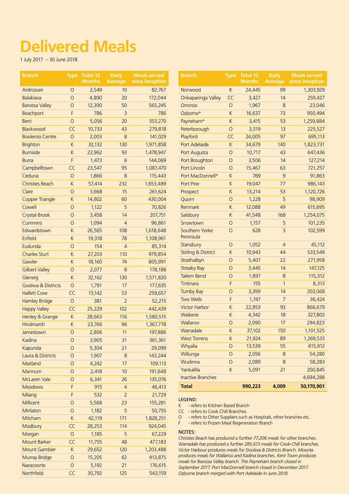# **Delivered Meals**

1 July 2017 – 30 June 2018

| <b>Branch</b>                 |              | Type Total 12<br><b>Months</b> | <b>Daily</b><br><b>Average</b> | <b>Meals served</b><br>since Inception | <b>Branch</b>                                                                                                                         |             | Type Total 12<br><b>Months</b> | <b>Daily</b><br><b>Average</b> | <b>Meals served</b><br>since Inception |
|-------------------------------|--------------|--------------------------------|--------------------------------|----------------------------------------|---------------------------------------------------------------------------------------------------------------------------------------|-------------|--------------------------------|--------------------------------|----------------------------------------|
| Ardrossan                     | $\circ$      | 2,549                          | 10                             | 82,767                                 | Norwood                                                                                                                               | K           | 24,445                         | 99                             | 1,303,929                              |
| <b>Balaklava</b>              | $\circ$      | 4,890                          | 20                             | 172,044                                | Onkaparinga Valley                                                                                                                    | CC          | 3,427                          | 14                             | 259,427                                |
| <b>Barossa Valley</b>         | $\circ$      | 12,390                         | 50                             | 565,245                                | Orroroo                                                                                                                               | $\circ$     | 1,967                          | 8                              | 23,046                                 |
| Beachport                     | F            | 786                            | 3                              | 786                                    | Osborne*                                                                                                                              | $\sf K$     | 16,637                         | 73                             | 950,494                                |
| Berri                         | $\bigcirc$   | 5,056                          | 20                             | 353,270                                | Payneham*                                                                                                                             | $\sf K$     | 3,415                          | 53                             | 1,259,884                              |
| Blackwood                     | CC           | 10,733                         | 43                             | 279,818                                | Peterborough                                                                                                                          | $\circ$     | 3,319                          | 13                             | 225,527                                |
| <b>Booleroo Centre</b>        | $\circ$      | 2,003                          | $\bf 8$                        | 141,029                                | Playford                                                                                                                              | CC          | 24,005                         | 97                             | 695,113                                |
| <b>Brighton</b>               | K            | 32,132                         | 130                            | 1,971,858                              | Port Adelaide                                                                                                                         | $\sf K$     | 34,679                         | 140                            | 1,823,731                              |
| <b>Burnside</b>               | K            | 22,962                         | 93                             | 1,478,947                              | Port Augusta                                                                                                                          | $\circ$     | 10,717                         | 43                             | 647,436                                |
| <b>Burra</b>                  | F            | 1,473                          | 6                              | 144,069                                | Port Broughton                                                                                                                        | $\circ$     | 3,506                          | 14                             | 127,214                                |
| Campbelltown                  | CC           | 23,547                         | 95                             | 1,087,470                              | Port Lincoln                                                                                                                          | $\circ$     | 15,467                         | 63                             | 721,257                                |
|                               |              |                                |                                |                                        |                                                                                                                                       |             |                                |                                |                                        |
| Ceduna                        | $\circ$      | 1,866                          | $\bf 8$                        | 115,443                                | Port MacDonnell*                                                                                                                      | $\sf K$     | 769                            | $\overline{9}$                 | 91,863                                 |
| <b>Christies Beach</b>        | $\mathsf K$  | 57,414                         | 232                            | 1,653,489                              | Port Pirie                                                                                                                            | $\mathsf K$ | 19,047                         | 77                             | 986,143                                |
| Clare                         | $\bigcirc$   | 3,668                          | 15                             | 261,624                                | Prospect                                                                                                                              | $\sf K$     | 13,214                         | 53                             | 1,120,726                              |
| <b>Copper Triangle</b>        | $\sf K$      | 14,802                         | 60                             | 430,004                                | Quorn                                                                                                                                 | $\bigcirc$  | 1,228                          | 5                              | 98,909                                 |
| Cowell                        | $\bigcirc$   | 1,122                          | 5                              | 70,826                                 | Renmark                                                                                                                               | $\mathsf K$ | 12,088                         | 49                             | 615,695                                |
| <b>Crystal Brook</b>          | $\bigcirc$   | 3,458                          | 14                             | 207,751                                | Salisbury                                                                                                                             | $\sf K$     | 41,548                         | 168                            | 1,254,075                              |
| <b>Cummins</b>                | $\circ$      | 1,094                          | $\overline{4}$                 | 96,861                                 | Snowtown                                                                                                                              | $\circ$     | 1,157                          | 5                              | 101,235                                |
| Edwardstown                   | K            | 26,565                         | 108                            | 1,618,648                              | Southern Yorke                                                                                                                        | $\circ$     | 628                            | $\overline{3}$                 | 102,599                                |
| Enfield                       | $\sf K$      | 19,318                         | 78                             | 1,108,961                              | Peninsula                                                                                                                             |             |                                |                                |                                        |
| Eudunda                       | $\bigcirc$   | 154                            | $\overline{4}$                 | 85,314                                 | Stansbury                                                                                                                             | $\circ$     | 1,052                          | $\overline{4}$                 | 45,112                                 |
| <b>Charles Sturt</b>          | K            | 27,203                         | 110                            | 979,854                                | <b>Stirling &amp; District</b>                                                                                                        | $\mathsf K$ | 10,943                         | 44                             | 533,549                                |
| Gawler                        | $\mathsf K$  | 18,160                         | 74                             | 805,991                                | Strathalbyn                                                                                                                           | $\bigcirc$  | 5,407                          | 22                             | 271,958                                |
| <b>Gilbert Valley</b>         | $\bigcirc$   | 2,077                          | 8                              | 178,188                                | <b>Streaky Bay</b>                                                                                                                    | $\circ$     | 3,445                          | 14                             | 147,125                                |
| Glenelg                       | $\mathsf K$  | 32,162                         | 130                            | 1,571,820                              | <b>Tailem Bend</b>                                                                                                                    | $\circ$     | 1,897                          | $\delta$                       | 115,312                                |
| <b>Goolwa &amp; Districts</b> | $\circ$      | 1,791                          | 17                             | 177,635                                | Tintinara                                                                                                                             | F           | 155                            | $\mathbf{1}$                   | 8,313                                  |
| <b>Hallett Cove</b>           | CC           | 13,142                         | 53                             | 259,657                                | <b>Tumby Bay</b>                                                                                                                      | $\circ$     | 3,399                          | 14                             | 203,068                                |
| <b>Hamley Bridge</b>          | $\circ$      | 381                            | $\overline{2}$                 | 52,215                                 | <b>Two Wells</b>                                                                                                                      | F           | 1,747                          | $\overline{7}$                 | 36,424                                 |
| <b>Happy Valley</b>           | CC           | 25,229                         | 102                            | 442,439                                | <b>Victor Harbor</b>                                                                                                                  | $\sf K$     | 22,853                         | 93                             | 866,679                                |
| Henley & Grange               | K            | 28,663                         | 116                            | 1,580,515                              | Waikerie                                                                                                                              | $\sf K$     | 4,342                          | 18                             | 327,803                                |
| Hindmarsh                     | $\mathsf{K}$ | 23,766                         | 96                             | 1,367,778                              | Wallaroo                                                                                                                              | $\circ$     | 2,090                          | 17                             | 294,823                                |
| Jamestown                     | $\circ$      | 2,806                          | 11                             | 197,886                                | Warradale                                                                                                                             | $\sf K$     | 37,102                         | 150                            | 1,101,525                              |
| Kadina                        | $\circ$      | 3,905                          | 31                             | 361,361                                | <b>West Torrens</b>                                                                                                                   | $\sf K$     | 21,924                         | 89                             | 1,269,533                              |
| Kapunda                       | 0            | 5,304                          | 21                             | 29,099                                 | Whyalla                                                                                                                               | $\circ$     | 13,539                         | 55                             | 615,912                                |
| Laura & Districts             | $\circ$      | 1,907                          | $\boldsymbol{8}$               | 143,244                                | Willunga                                                                                                                              | $\circ$     | 2,056                          | $\,8\,$                        | 54,280                                 |
| Maitland                      | $\circ$      | 4,242                          | 17                             | 109,113                                | Wudinna                                                                                                                               | $\circ$     | 2,089                          | 8                              | 58,283                                 |
| Mannum                        | $\circ$      | 2,418                          | 10                             | 191,648                                | Yankalilla                                                                                                                            | $\sf K$     | 5,091                          | 21                             | 200,845                                |
| <b>McLaren Vale</b>           | $\circ$      | 6,341                          | 26                             | 135,076                                | <b>Inactive Branches</b>                                                                                                              |             |                                |                                | 4,694,288                              |
| <b>Meadows</b>                | F            | 915                            | 4                              | 46,413                                 | <b>Total</b>                                                                                                                          |             | 990,223                        | 4,009                          | 50,170,901                             |
| Milang                        | F            | 532                            |                                | 21,729                                 |                                                                                                                                       |             |                                |                                |                                        |
| Millicent                     | $\circ$      | 5,568                          | 2<br>23                        | 155,281                                | LEGEND:                                                                                                                               |             |                                |                                |                                        |
|                               |              |                                |                                |                                        | - refers to Kitchen Based Branch<br>K                                                                                                 |             |                                |                                |                                        |
| Minlaton                      | $\bigcirc$   | 1,182                          | 5                              | 50,755                                 | CC - refers to Cook Chill Branches<br>- refers to Other Suppliers such as Hospitals, other branches etc.<br>O                         |             |                                |                                |                                        |
| Mitcham                       | $\mathsf K$  | 42,119                         | 171                            | 1,828,251                              | - refers to Frozen Meal Regeneration Branch<br>F                                                                                      |             |                                |                                |                                        |
| Modbury                       | CC           | 28,253                         | 114                            | 924,045                                | <b>NOTES:</b>                                                                                                                         |             |                                |                                |                                        |
| Morgan                        | $\circ$      | 1,185                          | 5                              | 67,229                                 | Christies Beach has produced a further 77,206 meals for other branches.                                                               |             |                                |                                |                                        |
| <b>Mount Barker</b>           | CC           | 11,755                         | 48                             | 477,183                                | Warradale has produced a further 285,613 meals for Cook-Chill branches.                                                               |             |                                |                                |                                        |
| <b>Mount Gambier</b>          | $\mathsf K$  | 29,652                         | 120                            | 1,203,488                              | Victor Harbour produces meals for Goolwa & Districts Branch. Moonta                                                                   |             |                                |                                |                                        |
| <b>Murray Bridge</b>          | $\circ$      | 15,205                         | 62                             | 913,875                                | produces meals for Wallaroo and Kadina branches. Kent Town produces<br>meals for Barossa Valley branch. The Payneham branch closed in |             |                                |                                |                                        |
| Naracoorte                    | $\circ$      | 5,192                          | 21                             | 176,615                                | September 2017. Port MacDonnell branch closed in December 2017.                                                                       |             |                                |                                |                                        |
| Northfield                    | CC           | 30,792                         | 125                            | 543,159                                | Osborne branch merged with Port Adelaide in June 2018.                                                                                |             |                                |                                |                                        |